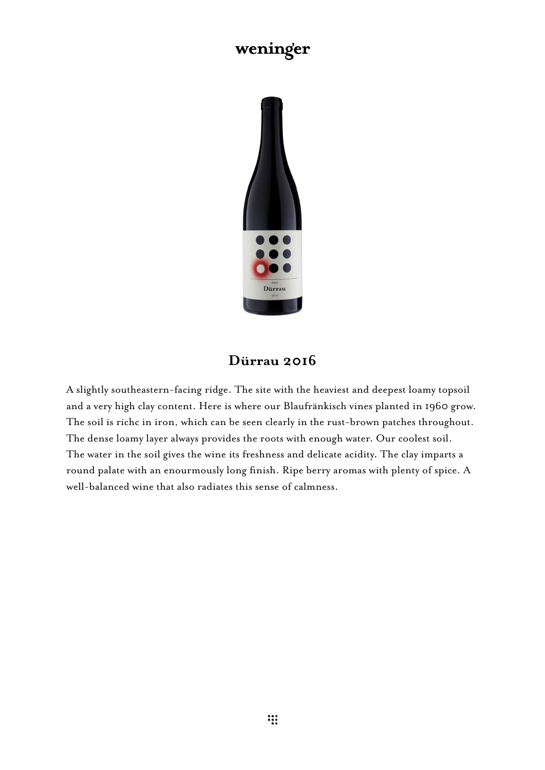## weninger



## **Dürrau 2016**

A slightly southeastern-facing ridge. The site with the heaviest and deepest loamy topsoil and a very high clay content. Here is where our Blaufränkisch vines planted in 1960 grow. The soil is richc in iron, which can be seen clearly in the rust-brown patches throughout. The dense loamy layer always provides the roots with enough water. Our coolest soil. The water in the soil gives the wine its freshness and delicate acidity. The clay imparts a round palate with an enourmously long finish. Ripe berry aromas with plenty of spice. A well-balanced wine that also radiates this sense of calmness.